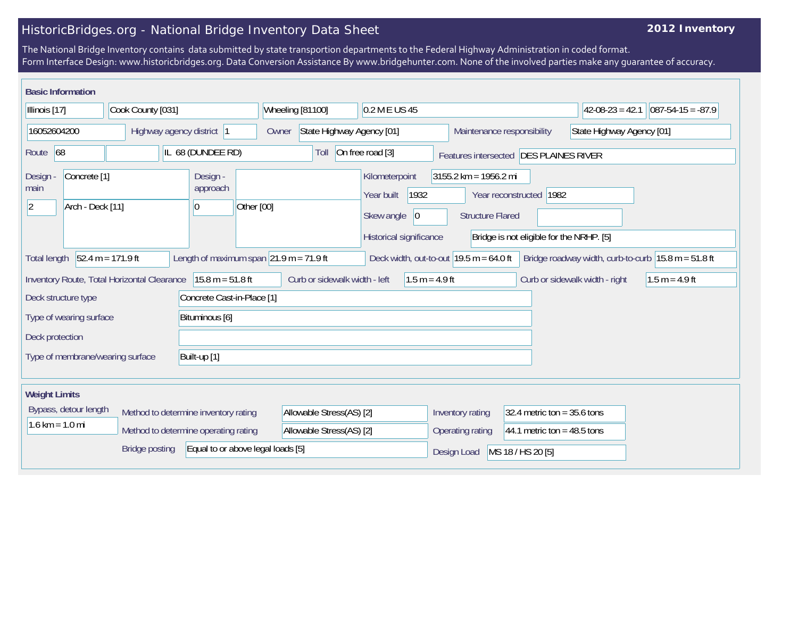## HistoricBridges.org - National Bridge Inventory Data Sheet

## **2012 Inventory**

The National Bridge Inventory contains data submitted by state transportion departments to the Federal Highway Administration in coded format. Form Interface Design: www.historicbridges.org. Data Conversion Assistance By www.bridgehunter.com. None of the involved parties make any guarantee of accuracy.

| <b>Basic Information</b>                                                                                                                                                                      |                   |                                         |                                                                    |                                                                                      |                                                    |                                                                     |                                |                      |
|-----------------------------------------------------------------------------------------------------------------------------------------------------------------------------------------------|-------------------|-----------------------------------------|--------------------------------------------------------------------|--------------------------------------------------------------------------------------|----------------------------------------------------|---------------------------------------------------------------------|--------------------------------|----------------------|
| Illinois [17]                                                                                                                                                                                 | Cook County [031] |                                         | Wheeling [81100]<br>0.2 M E US 45                                  |                                                                                      |                                                    |                                                                     | $42-08-23 = 42.1$              | $ 087-54-15 = -87.9$ |
| 16052604200<br>Highway agency district  1                                                                                                                                                     |                   | Owner                                   | State Highway Agency [01]<br>Maintenance responsibility            |                                                                                      |                                                    | State Highway Agency [01]                                           |                                |                      |
| Route $ 68 $<br>IL 68 (DUNDEE RD)                                                                                                                                                             |                   |                                         | On free road [3]<br>Toll<br>Features intersected DES PLAINES RIVER |                                                                                      |                                                    |                                                                     |                                |                      |
| Concrete <sup>[1]</sup><br>Design<br>main<br>Arch - Deck [11]<br>$ 2\rangle$                                                                                                                  |                   | Design -<br>approach<br>Other [00]<br>0 |                                                                    | Kilometerpoint<br>Year built<br>1932<br>Skew angle<br> 0 <br>Historical significance | $3155.2$ km = 1956.2 mi<br><b>Structure Flared</b> | Year reconstructed 1982<br>Bridge is not eligible for the NRHP. [5] |                                |                      |
| $52.4 m = 171.9 ft$<br>Length of maximum span $21.9$ m = 71.9 ft<br>Deck width, out-to-out $19.5$ m = 64.0 ft<br>Bridge roadway width, curb-to-curb $15.8 m = 51.8 ft$<br><b>Total length</b> |                   |                                         |                                                                    |                                                                                      |                                                    |                                                                     |                                |                      |
| Inventory Route, Total Horizontal Clearance<br>$15.8 m = 51.8 ft$                                                                                                                             |                   |                                         |                                                                    | Curb or sidewalk width - left<br>$1.5 m = 4.9 ft$                                    |                                                    |                                                                     | Curb or sidewalk width - right | $1.5 m = 4.9 ft$     |
| Concrete Cast-in-Place [1]<br>Deck structure type<br>Type of wearing surface<br>Bituminous [6]<br>Deck protection                                                                             |                   |                                         |                                                                    |                                                                                      |                                                    |                                                                     |                                |                      |
| Built-up [1]<br>Type of membrane/wearing surface                                                                                                                                              |                   |                                         |                                                                    |                                                                                      |                                                    |                                                                     |                                |                      |
| <b>Weight Limits</b>                                                                                                                                                                          |                   |                                         |                                                                    |                                                                                      |                                                    |                                                                     |                                |                      |
| Bypass, detour length<br>Method to determine inventory rating<br>$1.6 \text{ km} = 1.0 \text{ mi}$<br>Method to determine operating rating                                                    |                   |                                         | Allowable Stress(AS) [2]<br>Allowable Stress(AS) [2]               |                                                                                      | Inventory rating<br>Operating rating               | 32.4 metric ton = $35.6$ tons<br>44.1 metric ton = $48.5$ tons      |                                |                      |
| Equal to or above legal loads [5]<br><b>Bridge posting</b>                                                                                                                                    |                   |                                         |                                                                    |                                                                                      |                                                    | MS 18 / HS 20 [5]<br>Design Load                                    |                                |                      |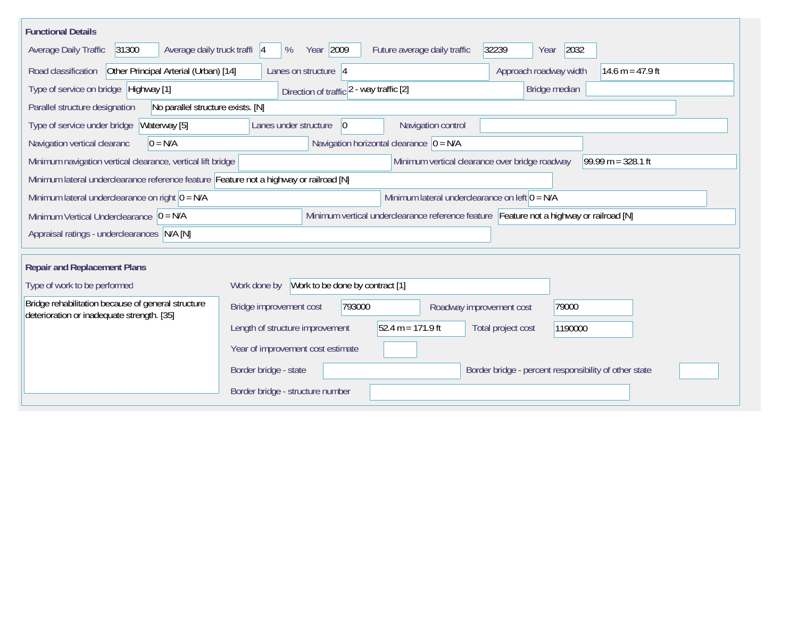| <b>Functional Details</b>                                                                        |                                                                                         |
|--------------------------------------------------------------------------------------------------|-----------------------------------------------------------------------------------------|
| 31300<br>Average daily truck traffi 4<br>Average Daily Traffic                                   | Year 2009<br>32239<br>2032<br>%<br>Future average daily traffic<br>Year                 |
| Other Principal Arterial (Urban) [14]<br>Road classification                                     | Approach roadway width<br>14.6 m = 47.9 ft<br>Lanes on structure $ 4 $                  |
| Type of service on bridge Highway [1]                                                            | Bridge median<br>Direction of traffic 2 - way traffic [2]                               |
| No parallel structure exists. [N]<br>Parallel structure designation                              |                                                                                         |
| Waterway [5]<br>Type of service under bridge                                                     | Navigation control<br>Lanes under structure<br>$\overline{0}$                           |
| Navigation vertical clearanc<br>$0 = N/A$                                                        | Navigation horizontal clearance $ 0 = N/A $                                             |
| Minimum navigation vertical clearance, vertical lift bridge                                      | Minimum vertical clearance over bridge roadway<br>99.99 m = $328.1$ ft                  |
| Minimum lateral underclearance reference feature Feature not a highway or railroad [N]           |                                                                                         |
| Minimum lateral underclearance on right $0 = N/A$                                                | Minimum lateral underclearance on left $0 = N/A$                                        |
| Minimum Vertical Underclearance $ 0 = N/A$                                                       | Minimum vertical underclearance reference feature Feature not a highway or railroad [N] |
| Appraisal ratings - underclearances N/A [N]                                                      |                                                                                         |
| <b>Repair and Replacement Plans</b>                                                              |                                                                                         |
| Type of work to be performed                                                                     | Work to be done by contract [1]<br>Work done by                                         |
|                                                                                                  |                                                                                         |
| Bridge rehabilitation because of general structure<br>deterioration or inadequate strength. [35] | 793000<br>79000<br>Bridge improvement cost<br>Roadway improvement cost                  |
|                                                                                                  | 52.4 m = 171.9 ft<br>Length of structure improvement<br>Total project cost<br>1190000   |
|                                                                                                  | Year of improvement cost estimate                                                       |
|                                                                                                  | Border bridge - state<br>Border bridge - percent responsibility of other state          |
|                                                                                                  | Border bridge - structure number                                                        |